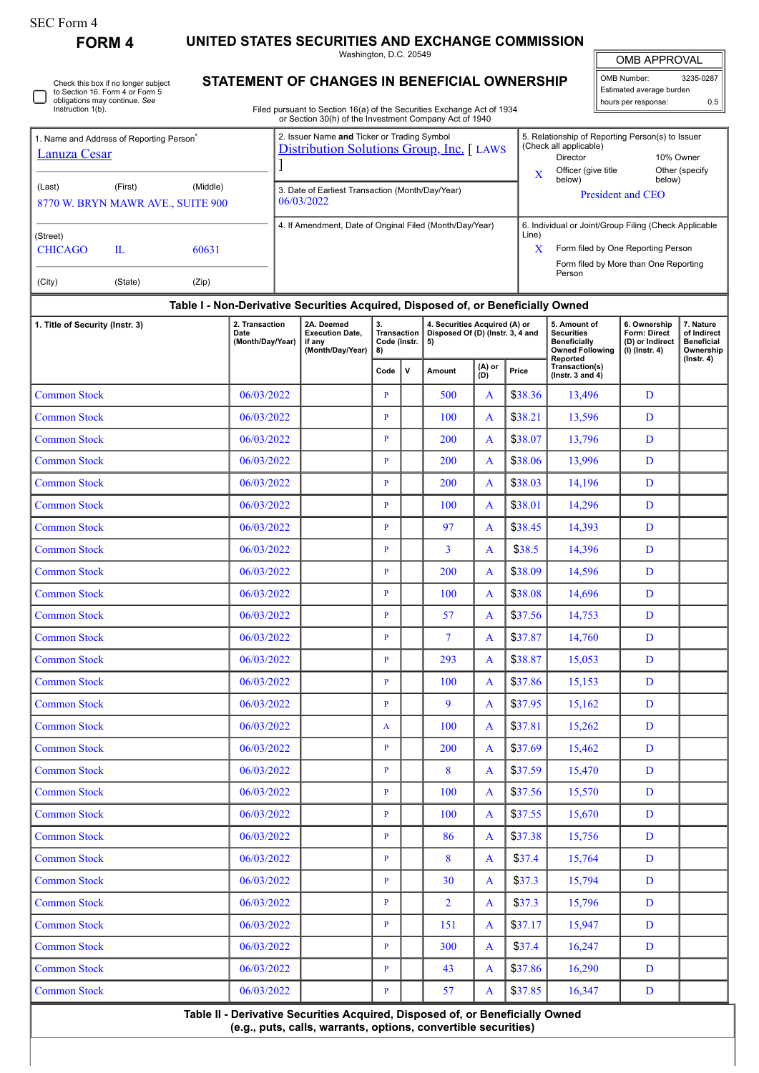## SEC Form 4

**FORM 4 UNITED STATES SECURITIES AND EXCHANGE COMMISSION**

Washington, D.C. 20549

OMB APPROVAL

| OMB Number:<br>3235-0287 |     |  |  |  |  |  |  |  |  |
|--------------------------|-----|--|--|--|--|--|--|--|--|
| Estimated average burden |     |  |  |  |  |  |  |  |  |
| hours per response:      | ሰ ፣ |  |  |  |  |  |  |  |  |

5. Relationship of Reporting Person(s) to Issuer

 $\mathbb{I}$ 

(Check all applicable)

|  | Check this box if no longer subject<br>to Section 16. Form 4 or Form 5<br>obligations may continue. See<br>Instruction 1(b). |
|--|------------------------------------------------------------------------------------------------------------------------------|
|--|------------------------------------------------------------------------------------------------------------------------------|

1. Name and Address of Reporting Person<sup>\*</sup>

## **STATEMENT OF CHANGES IN BENEFICIAL OWNERSHIP**

Filed pursuant to Section 16(a) of the Securities Exchange Act of 1934 or Section 30(h) of the Investment Company Act of 1940

2. Issuer Name **and** Ticker or Trading Symbol [Distribution Solutions Group, Inc.](http://www.sec.gov/cgi-bin/browse-edgar?action=getcompany&CIK=0000703604) [ LAWS

| <b>Lanuza Cesar</b>                                                |                          | <u>Distribution Solutions Group, Inc.</u>   LAWS<br>(Oricon all applicable)<br>10% Owner<br>Director<br>Officer (give title<br>Other (specify<br>X<br>below)<br>below)<br>3. Date of Earliest Transaction (Month/Day/Year)<br><b>President and CEO</b><br>06/03/2022 |                                                                  |  |                                                  |              |                                                                                                                                                |                                                                                                  |                                                     |                                                                   |  |  |  |
|--------------------------------------------------------------------|--------------------------|----------------------------------------------------------------------------------------------------------------------------------------------------------------------------------------------------------------------------------------------------------------------|------------------------------------------------------------------|--|--------------------------------------------------|--------------|------------------------------------------------------------------------------------------------------------------------------------------------|--------------------------------------------------------------------------------------------------|-----------------------------------------------------|-------------------------------------------------------------------|--|--|--|
| (First)<br>(Middle)<br>(Last)<br>8770 W. BRYN MAWR AVE., SUITE 900 |                          |                                                                                                                                                                                                                                                                      |                                                                  |  |                                                  |              |                                                                                                                                                |                                                                                                  |                                                     |                                                                   |  |  |  |
| (Street)<br><b>CHICAGO</b><br>$\mathbf{L}$<br>60631                |                          | 4. If Amendment, Date of Original Filed (Month/Day/Year)                                                                                                                                                                                                             |                                                                  |  |                                                  | Line)<br>X   | 6. Individual or Joint/Group Filing (Check Applicable<br>Form filed by One Reporting Person<br>Form filed by More than One Reporting<br>Person |                                                                                                  |                                                     |                                                                   |  |  |  |
| (City)<br>(Zip)<br>(State)                                         |                          |                                                                                                                                                                                                                                                                      |                                                                  |  |                                                  |              |                                                                                                                                                |                                                                                                  |                                                     |                                                                   |  |  |  |
| 1. Title of Security (Instr. 3)                                    | 2. Transaction           | Table I - Non-Derivative Securities Acquired, Disposed of, or Beneficially Owned<br>2A. Deemed                                                                                                                                                                       | 3.                                                               |  | 4. Securities Acquired (A) or                    |              | 5. Amount of                                                                                                                                   | 6. Ownership                                                                                     | 7. Nature                                           |                                                                   |  |  |  |
|                                                                    | Date<br>(Month/Day/Year) | <b>Execution Date,</b><br>if any<br>(Month/Day/Year)                                                                                                                                                                                                                 | <b>Transaction</b><br>Code (Instr.<br>8)<br>$\mathsf{v}$<br>Code |  | Disposed Of (D) (Instr. 3, 4 and<br>5)<br>Amount | (A) or       | Price                                                                                                                                          | <b>Securities</b><br><b>Beneficially</b><br><b>Owned Following</b><br>Reported<br>Transaction(s) | Form: Direct<br>(D) or Indirect<br>$(I)$ (Instr. 4) | of Indirect<br><b>Beneficial</b><br>Ownership<br>$($ Instr. 4 $)$ |  |  |  |
|                                                                    |                          |                                                                                                                                                                                                                                                                      |                                                                  |  |                                                  | (D)          |                                                                                                                                                | ( $lnstr. 3 and 4$ )                                                                             |                                                     |                                                                   |  |  |  |
| <b>Common Stock</b>                                                | 06/03/2022               |                                                                                                                                                                                                                                                                      | $\mathbf{P}$                                                     |  | 500                                              | A            | \$38.36                                                                                                                                        | 13,496                                                                                           | D                                                   |                                                                   |  |  |  |
| <b>Common Stock</b><br><b>Common Stock</b>                         | 06/03/2022<br>06/03/2022 |                                                                                                                                                                                                                                                                      | $\mathbf{P}$<br>$\mathbf{P}$                                     |  | 100<br>200                                       | A<br>A       | \$38.21<br>\$38.07                                                                                                                             | 13,596<br>13,796                                                                                 | D<br>D                                              |                                                                   |  |  |  |
| <b>Common Stock</b>                                                | 06/03/2022               |                                                                                                                                                                                                                                                                      | $\mathbf{P}$                                                     |  | 200                                              | A            | \$38.06                                                                                                                                        | 13,996                                                                                           | D                                                   |                                                                   |  |  |  |
| <b>Common Stock</b>                                                | 06/03/2022               |                                                                                                                                                                                                                                                                      | $\mathbf{P}$                                                     |  | 200                                              | A            | \$38.03                                                                                                                                        | 14,196                                                                                           | D                                                   |                                                                   |  |  |  |
| <b>Common Stock</b>                                                | 06/03/2022               |                                                                                                                                                                                                                                                                      | $\mathbf{P}$                                                     |  | 100                                              | A            | \$38.01                                                                                                                                        | 14,296                                                                                           | D                                                   |                                                                   |  |  |  |
| <b>Common Stock</b>                                                | 06/03/2022               |                                                                                                                                                                                                                                                                      | $\mathbf{P}$                                                     |  | 97                                               | A            | \$38.45                                                                                                                                        | 14,393                                                                                           | D                                                   |                                                                   |  |  |  |
| <b>Common Stock</b>                                                | 06/03/2022               |                                                                                                                                                                                                                                                                      | $\mathbf{P}$                                                     |  | $\overline{3}$                                   | A            | \$38.5                                                                                                                                         | 14,396                                                                                           | D                                                   |                                                                   |  |  |  |
| <b>Common Stock</b>                                                | 06/03/2022               |                                                                                                                                                                                                                                                                      | $\mathbf{P}$                                                     |  | 200                                              | A            | \$38.09                                                                                                                                        | 14,596                                                                                           | D                                                   |                                                                   |  |  |  |
| <b>Common Stock</b>                                                | 06/03/2022               |                                                                                                                                                                                                                                                                      | $\mathbf{P}$                                                     |  | 100                                              | A            | \$38.08                                                                                                                                        | 14,696                                                                                           | D                                                   |                                                                   |  |  |  |
| <b>Common Stock</b>                                                | 06/03/2022               |                                                                                                                                                                                                                                                                      | $\mathbf{P}$                                                     |  | 57                                               | A            | \$37.56                                                                                                                                        | 14,753                                                                                           | D                                                   |                                                                   |  |  |  |
| <b>Common Stock</b>                                                | 06/03/2022               |                                                                                                                                                                                                                                                                      | $\mathbf{P}$                                                     |  | $\tau$                                           | A            | \$37.87                                                                                                                                        | 14,760                                                                                           | D                                                   |                                                                   |  |  |  |
| <b>Common Stock</b>                                                | 06/03/2022               |                                                                                                                                                                                                                                                                      | $\, {\bf p}$                                                     |  | 293                                              | A            | \$38.87                                                                                                                                        | 15,053                                                                                           | D                                                   |                                                                   |  |  |  |
| <b>Common Stock</b>                                                | 06/03/2022               |                                                                                                                                                                                                                                                                      | $\mathbf{P}$                                                     |  | 100                                              | A            | \$37.86                                                                                                                                        | 15,153                                                                                           | D                                                   |                                                                   |  |  |  |
| <b>Common Stock</b>                                                | 06/03/2022               |                                                                                                                                                                                                                                                                      | $\mathbf{P}$                                                     |  | 9                                                | A            | \$37.95                                                                                                                                        | 15,162                                                                                           | D                                                   |                                                                   |  |  |  |
| <b>Common Stock</b>                                                | 06/03/2022               |                                                                                                                                                                                                                                                                      | $\mathbf{A}$                                                     |  | 100                                              | $\mathbf{A}$ | \$37.81                                                                                                                                        | 15,262                                                                                           | D                                                   |                                                                   |  |  |  |
| <b>Common Stock</b>                                                | 06/03/2022               |                                                                                                                                                                                                                                                                      | $\mathbf{P}$                                                     |  | 200                                              | A            | \$37.69                                                                                                                                        | 15,462                                                                                           | D                                                   |                                                                   |  |  |  |
| <b>Common Stock</b>                                                | 06/03/2022               |                                                                                                                                                                                                                                                                      | $\mathbf{P}$                                                     |  | 8                                                | $\mathbf{A}$ | \$37.59                                                                                                                                        | 15,470                                                                                           | D                                                   |                                                                   |  |  |  |
| <b>Common Stock</b>                                                | 06/03/2022               |                                                                                                                                                                                                                                                                      | $\mathbf{P}$                                                     |  | 100                                              | A            | \$37.56                                                                                                                                        | 15,570                                                                                           | D                                                   |                                                                   |  |  |  |
| <b>Common Stock</b>                                                | 06/03/2022               |                                                                                                                                                                                                                                                                      | $\mathbf{P}$                                                     |  | 100                                              | A            | \$37.55                                                                                                                                        | 15,670                                                                                           | D                                                   |                                                                   |  |  |  |
| <b>Common Stock</b><br>06/03/2022                                  |                          |                                                                                                                                                                                                                                                                      | $\mathbf{P}$                                                     |  | 86                                               | $\mathbf{A}$ | \$37.38                                                                                                                                        | 15,756                                                                                           | D                                                   |                                                                   |  |  |  |
| <b>Common Stock</b><br>06/03/2022                                  |                          |                                                                                                                                                                                                                                                                      | $\mathbf{P}$                                                     |  | 8                                                | $\mathbf{A}$ | \$37.4                                                                                                                                         | 15,764                                                                                           | D                                                   |                                                                   |  |  |  |
| <b>Common Stock</b>                                                | 06/03/2022               |                                                                                                                                                                                                                                                                      | $\mathbf{P}$                                                     |  | 30                                               | $\mathbf{A}$ | \$37.3                                                                                                                                         | 15,794                                                                                           | D                                                   |                                                                   |  |  |  |
| <b>Common Stock</b>                                                | 06/03/2022               |                                                                                                                                                                                                                                                                      | $\mathbf{P}$                                                     |  | $\overline{2}$                                   | $\mathbf{A}$ | \$37.3                                                                                                                                         | 15,796                                                                                           | D                                                   |                                                                   |  |  |  |
| <b>Common Stock</b>                                                | 06/03/2022               |                                                                                                                                                                                                                                                                      | $\mathbf{P}$                                                     |  | 151                                              | $\mathbf{A}$ | \$37.17                                                                                                                                        | 15,947                                                                                           | $\mathbf{D}$                                        |                                                                   |  |  |  |
| <b>Common Stock</b>                                                | 06/03/2022               |                                                                                                                                                                                                                                                                      | $\mathbf{P}$                                                     |  | 300                                              | $\mathbf{A}$ | \$37.4                                                                                                                                         | 16,247                                                                                           | D                                                   |                                                                   |  |  |  |
| <b>Common Stock</b>                                                | 06/03/2022               |                                                                                                                                                                                                                                                                      | $\mathbf{P}$                                                     |  | 43                                               | $\mathbf{A}$ | \$37.86                                                                                                                                        | 16,290                                                                                           | D                                                   |                                                                   |  |  |  |
| <b>Common Stock</b>                                                | 06/03/2022               |                                                                                                                                                                                                                                                                      | $\mathbf{P}$                                                     |  | 57                                               | A            | \$37.85                                                                                                                                        | 16,347                                                                                           | D                                                   |                                                                   |  |  |  |

**Table II - Derivative Securities Acquired, Disposed of, or Beneficially Owned (e.g., puts, calls, warrants, options, convertible securities)**